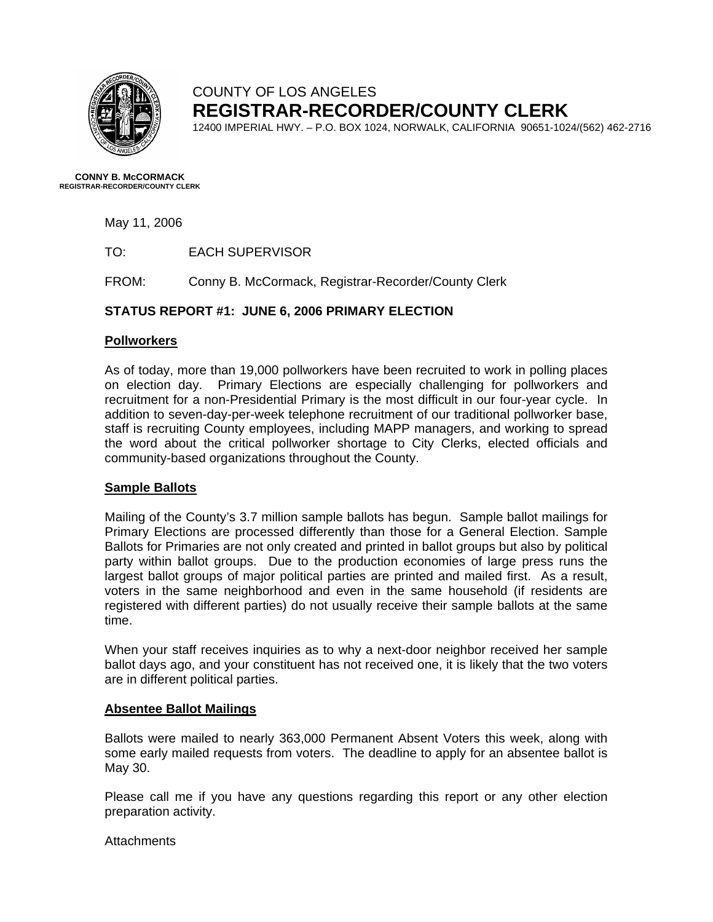

# COUNTY OF LOS ANGELES **REGISTRAR-RECORDER/COUNTY CLERK**

12400 IMPERIAL HWY. – P.O. BOX 1024, NORWALK, CALIFORNIA 90651-1024/(562) 462-2716

**CONNY B. McCORMACK REGISTRAR-RECORDER/COUNTY CLERK** 

May 11, 2006

TO: EACH SUPERVISOR

FROM: Conny B. McCormack, Registrar-Recorder/County Clerk

### **STATUS REPORT #1: JUNE 6, 2006 PRIMARY ELECTION**

#### **Pollworkers**

As of today, more than 19,000 pollworkers have been recruited to work in polling places on election day. Primary Elections are especially challenging for pollworkers and recruitment for a non-Presidential Primary is the most difficult in our four-year cycle. In addition to seven-day-per-week telephone recruitment of our traditional pollworker base, staff is recruiting County employees, including MAPP managers, and working to spread the word about the critical pollworker shortage to City Clerks, elected officials and community-based organizations throughout the County.

#### **Sample Ballots**

Mailing of the County's 3.7 million sample ballots has begun. Sample ballot mailings for Primary Elections are processed differently than those for a General Election. Sample Ballots for Primaries are not only created and printed in ballot groups but also by political party within ballot groups. Due to the production economies of large press runs the largest ballot groups of major political parties are printed and mailed first. As a result, voters in the same neighborhood and even in the same household (if residents are registered with different parties) do not usually receive their sample ballots at the same time.

When your staff receives inquiries as to why a next-door neighbor received her sample ballot days ago, and your constituent has not received one, it is likely that the two voters are in different political parties.

#### **Absentee Ballot Mailings**

Ballots were mailed to nearly 363,000 Permanent Absent Voters this week, along with some early mailed requests from voters. The deadline to apply for an absentee ballot is May 30.

Please call me if you have any questions regarding this report or any other election preparation activity.

#### **Attachments**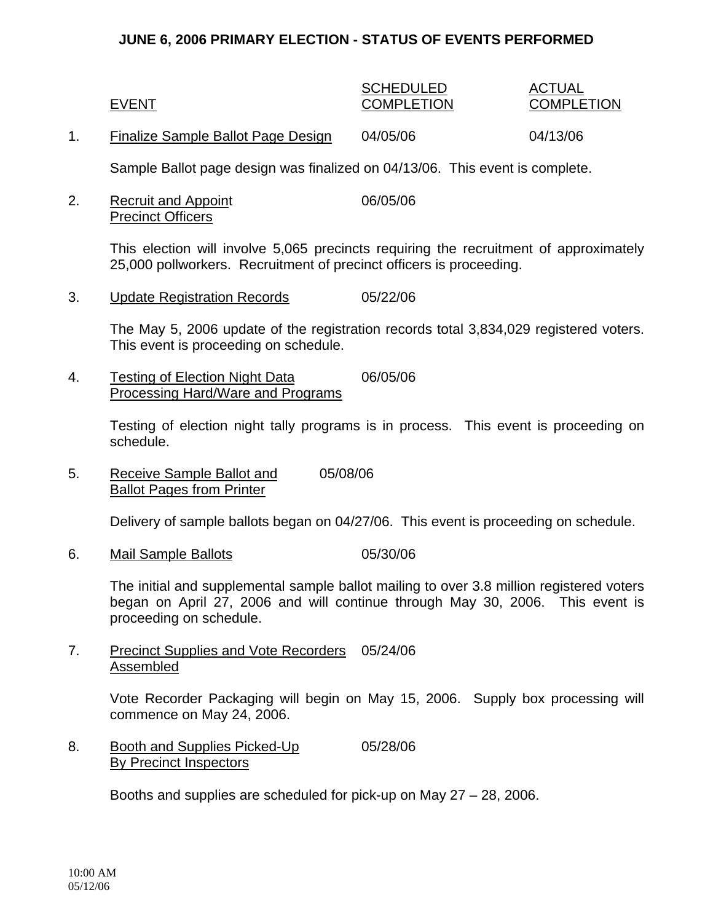### **JUNE 6, 2006 PRIMARY ELECTION - STATUS OF EVENTS PERFORMED**

## SCHEDULED ACTUAL EVENT COMPLETION COMPLETION

1. Finalize Sample Ballot Page Design 04/05/06 04/13/06

Sample Ballot page design was finalized on 04/13/06. This event is complete.

2. Recruit and Appoint 06/05/06 Precinct Officers

> This election will involve 5,065 precincts requiring the recruitment of approximately 25,000 pollworkers. Recruitment of precinct officers is proceeding.

3. Update Registration Records 05/22/06

The May 5, 2006 update of the registration records total 3,834,029 registered voters. This event is proceeding on schedule.

4. Testing of Election Night Data 06/05/06 Processing Hard/Ware and Programs

> Testing of election night tally programs is in process. This event is proceeding on schedule.

5. Receive Sample Ballot and 05/08/06 Ballot Pages from Printer

Delivery of sample ballots began on 04/27/06. This event is proceeding on schedule.

6. Mail Sample Ballots 05/30/06

The initial and supplemental sample ballot mailing to over 3.8 million registered voters began on April 27, 2006 and will continue through May 30, 2006. This event is proceeding on schedule.

7. Precinct Supplies and Vote Recorders 05/24/06 **Assembled** 

> Vote Recorder Packaging will begin on May 15, 2006. Supply box processing will commence on May 24, 2006.

8. Booth and Supplies Picked-Up 05/28/06 By Precinct Inspectors

Booths and supplies are scheduled for pick-up on May 27 – 28, 2006.